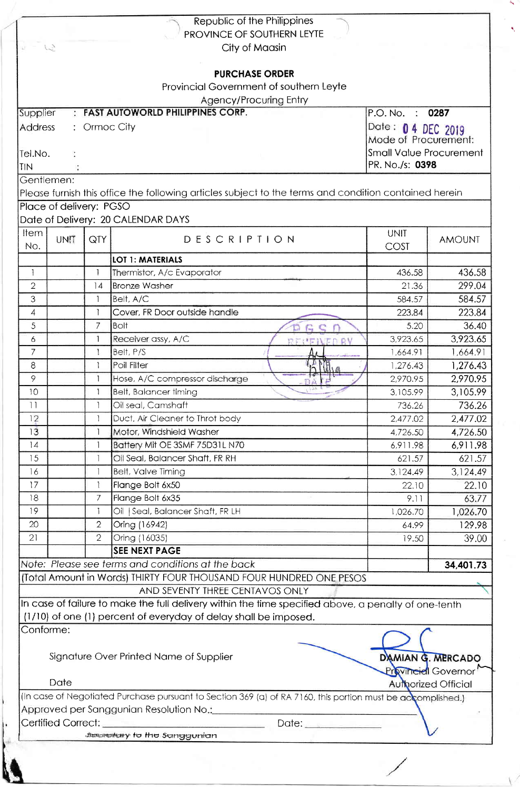|                                                                                                        |                         |                                            | Republic of the Philippines<br>PROVINCE OF SOUTHERN LEYTE                                                   |             |                            |  |  |
|--------------------------------------------------------------------------------------------------------|-------------------------|--------------------------------------------|-------------------------------------------------------------------------------------------------------------|-------------|----------------------------|--|--|
| ist.<br>$\frac{1}{2}$                                                                                  |                         |                                            | City of Maasin                                                                                              |             |                            |  |  |
|                                                                                                        |                         |                                            | <b>PURCHASE ORDER</b>                                                                                       |             |                            |  |  |
|                                                                                                        |                         |                                            |                                                                                                             |             |                            |  |  |
|                                                                                                        |                         |                                            | Provincial Government of southern Leyte                                                                     |             |                            |  |  |
|                                                                                                        |                         |                                            | <b>Agency/Procuring Entry</b>                                                                               |             |                            |  |  |
| <b>FAST AUTOWORLD PHILIPPINES CORP.</b><br>Supplier<br>P.O. No. : 0287<br>÷<br>Address<br>: Ormoc City |                         |                                            |                                                                                                             |             |                            |  |  |
|                                                                                                        |                         | Date: 0 4 DEC 2019<br>Mode of Procurement: |                                                                                                             |             |                            |  |  |
| Tel.No.                                                                                                |                         | Small Value Procurement                    |                                                                                                             |             |                            |  |  |
| TIN                                                                                                    |                         | PR. No./s: 0398                            |                                                                                                             |             |                            |  |  |
|                                                                                                        | Gentlemen:              |                                            |                                                                                                             |             |                            |  |  |
|                                                                                                        |                         |                                            | Please furnish this office the following articles subject to the terms and condition contained herein       |             |                            |  |  |
|                                                                                                        | Place of delivery: PGSO |                                            |                                                                                                             |             |                            |  |  |
|                                                                                                        |                         |                                            | Date of Delivery: 20 CALENDAR DAYS                                                                          |             |                            |  |  |
| <b>Item</b>                                                                                            |                         |                                            |                                                                                                             | <b>UNIT</b> |                            |  |  |
| No.                                                                                                    | UNIT                    | QTY                                        | <b>DESCRIPTION</b>                                                                                          | COST        | <b>AMOUNT</b>              |  |  |
|                                                                                                        |                         |                                            | <b>LOT 1: MATERIALS</b>                                                                                     |             |                            |  |  |
| $\mathcal{L}$                                                                                          |                         | $\mathbf{1}$                               | Thermistor, A/c Evaporator                                                                                  | 436.58      | 436.58                     |  |  |
| $\overline{2}$                                                                                         |                         | 4                                          | <b>Bronze Washer</b>                                                                                        | 21.36       | 299.04                     |  |  |
| 3                                                                                                      |                         | $\mathbf{1}$                               | Belt, A/C                                                                                                   | 584.57      | 584.57                     |  |  |
| 4                                                                                                      |                         | $\mathbf{I}$                               | Cover, FR Door outside handle                                                                               | 223.84      | 223.84                     |  |  |
| 5                                                                                                      |                         | $\overline{7}$                             | Bolt                                                                                                        | 5.20        | 36.40                      |  |  |
| 6                                                                                                      |                         | $\mathbf{1}$                               | Receiver assy, A/C<br>RECEIVED BY                                                                           | 3,923.65    | 3.923.65                   |  |  |
| $\overline{7}$                                                                                         |                         | $\mathbf{1}$                               | Belt, P/S                                                                                                   | 1,664.91    | 1,664.91                   |  |  |
| 8                                                                                                      |                         | 1                                          | Poil Filter                                                                                                 | 1,276.43    | 1,276.43                   |  |  |
| 9                                                                                                      |                         | $\mathbf{1}$                               | Hose, A/C compressor discharge                                                                              | 2,970.95    | 2,970.95                   |  |  |
| 10                                                                                                     |                         |                                            | Belt, Balancer timing                                                                                       | 3,105.99    | 3,105.99                   |  |  |
| 11                                                                                                     |                         |                                            | Oil seal, Camshaft                                                                                          | 736.26      | 736.26                     |  |  |
| 12                                                                                                     |                         | $\mathbf{1}$                               | Duct, Air Cleaner to Throt body                                                                             | 2,477.02    | 2,477.02                   |  |  |
| 13                                                                                                     |                         | 1                                          | Motor, Windshield Washer                                                                                    | 4,726.50    | 4,726.50                   |  |  |
| 14                                                                                                     |                         | 1                                          | Battery Mit OE 3SMF 75D31L N70                                                                              | 6,911.98    | 6,911.98                   |  |  |
| 15                                                                                                     |                         |                                            | Oil Seal, Balancer Shaft, FR RH                                                                             | 621.57      | 621.57                     |  |  |
| 16                                                                                                     |                         |                                            | <b>Belt, Valve Timing</b>                                                                                   | 3,124.49    | 3,124.49                   |  |  |
| 17                                                                                                     |                         | $\mathbf{1}$                               | Flange Bolt 6x50                                                                                            | 22.10       | 22.10                      |  |  |
| 18                                                                                                     |                         | 7                                          | Flange Bolt 6x35                                                                                            | 9.11        | 63.77                      |  |  |
| 19                                                                                                     |                         | L                                          | Oil   Seal, Balancer Shaft, FR LH                                                                           | 1,026.70    | 1,026.70                   |  |  |
| 20                                                                                                     |                         | $\mathbf{2}$                               | Oring (16942)                                                                                               | 64.99       | 129.98                     |  |  |
| 21                                                                                                     |                         | $\overline{2}$                             | Oring (16035)                                                                                               | 19.50       | 39.00                      |  |  |
|                                                                                                        |                         |                                            | <b>SEE NEXT PAGE</b>                                                                                        |             |                            |  |  |
|                                                                                                        |                         |                                            | Note: Please see terms and conditions at the back                                                           |             | 34,401.73                  |  |  |
|                                                                                                        |                         |                                            | (Total Amount in Words) THIRTY FOUR THOUSAND FOUR HUNDRED ONE PESOS                                         |             |                            |  |  |
|                                                                                                        |                         |                                            | AND SEVENTY THREE CENTAVOS ONLY                                                                             |             |                            |  |  |
|                                                                                                        |                         |                                            | In case of failure to make the full delivery within the time specified above, a penalty of one-tenth        |             |                            |  |  |
|                                                                                                        |                         |                                            | (1/10) of one (1) percent of everyday of delay shall be imposed.                                            |             |                            |  |  |
|                                                                                                        | Conforme:               |                                            |                                                                                                             |             |                            |  |  |
|                                                                                                        |                         |                                            |                                                                                                             |             |                            |  |  |
|                                                                                                        |                         |                                            | Signature Over Printed Name of Supplier                                                                     |             | DAMIAN G. MERCADO          |  |  |
|                                                                                                        |                         |                                            |                                                                                                             |             | <b>Provincial Governor</b> |  |  |
|                                                                                                        | Date                    |                                            |                                                                                                             |             | <b>Authorized Official</b> |  |  |
|                                                                                                        |                         |                                            | (In case of Negotiated Purchase pursuant to Section 369 (a) of RA 7160, this portion must be accomplished.) |             |                            |  |  |
|                                                                                                        |                         |                                            | Approved per Sanggunian Resolution No.:__________                                                           |             |                            |  |  |
|                                                                                                        | Certified Correct:      |                                            | Date:                                                                                                       |             |                            |  |  |
|                                                                                                        |                         |                                            | <b>Sexarctiony</b> to the Sanggunian                                                                        |             |                            |  |  |

ń